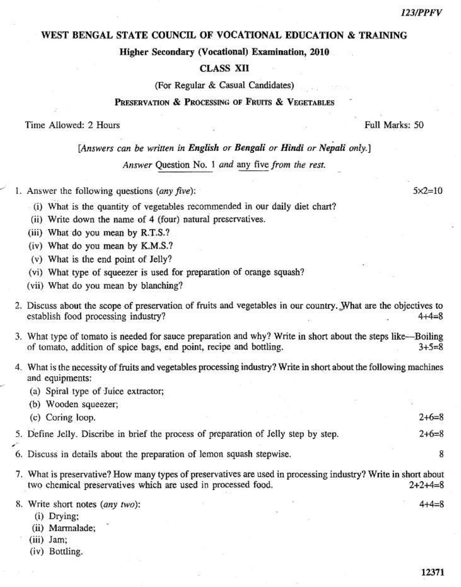#### **123/PPFV**

#### WEST BENGAL STATE COUNCIL OF VOCATIONAL EDUCATION & TRAINING

Higher Secondary (Vocational) Examination, 2010

### **CLASS XII**

(For Regular & Casual Candidates)

## PRESERVATION & PROCESSING OF FRUITS & VEGETABLES

Time Allowed: 2 Hours

[Answers can be written in English or Bengali or Hindi or Nepali only.]

Answer Question No. 1 and any five from the rest.

1. Answer the following questions (any five):

(i) What is the quantity of vegetables recommended in our daily diet chart?

- (ii) Write down the name of 4 (four) natural preservatives.
- (iii) What do you mean by R.T.S.?
- (iv) What do you mean by K.M.S.?
- (v) What is the end point of Jelly?
- (vi) What type of squeezer is used for preparation of orange squash?
- (vii) What do you mean by blanching?
- 2. Discuss about the scope of preservation of fruits and vegetables in our country. What are the objectives to establish food processing industry?  $4 + 4 = 8$
- 3. What type of tomato is needed for sauce preparation and why? Write in short about the steps like—Boiling of tomato, addition of spice bags, end point, recipe and bottling.  $3 + 5 = 8$
- 4. What is the necessity of fruits and vegetables processing industry? Write in short about the following machines and equipments:
	- (a) Spiral type of Juice extractor;

| (b) Wooden squeezer;                                                                 |  |         |
|--------------------------------------------------------------------------------------|--|---------|
| (c) Coring loop.                                                                     |  | $2+6=8$ |
| 5. Define Jelly. Discribe in brief the process of preparation of Jelly step by step. |  | $2+6=8$ |

- 6. Discuss in details about the preparation of lemon squash stepwise.
- 7. What is preservative? How many types of preservatives are used in processing industry? Write in short about two chemical preservatives which are used in processed food.  $2+2+4=8$

8. Write short notes (any two):

- (i) Drying;
- (ii) Marmalade;
- $(iii)$  Jam;
- (iv) Bottling.

 $5 \times 2 = 10$ 

Full Marks: 50

 $4 + 4 = 8$ 

8